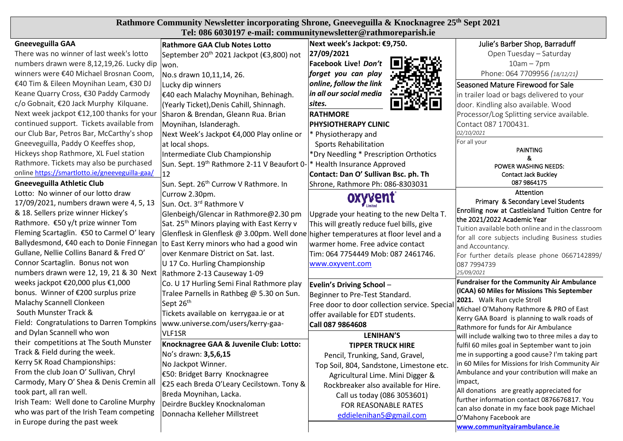| Rathmore Community Newsletter incorporating Shrone, Gneeveguilla & Knocknagree 25 <sup>th</sup> Sept 2021<br>Tel: 086 6030197 e-mail: communitynewsletter@rathmoreparish.ie |                                                               |                                              |                                                      |  |
|-----------------------------------------------------------------------------------------------------------------------------------------------------------------------------|---------------------------------------------------------------|----------------------------------------------|------------------------------------------------------|--|
| <b>Gneeveguilla GAA</b>                                                                                                                                                     | Rathmore GAA Club Notes Lotto                                 | Next week's Jackpot: €9,750.                 | Julie's Barber Shop, Barraduff                       |  |
| There was no winner of last week's lotto                                                                                                                                    | September 20 <sup>th</sup> 2021 Jackpot (€3,800) not          | 27/09/2021                                   | Open Tuesday - Saturday                              |  |
| numbers drawn were 8,12,19,26. Lucky dip won.                                                                                                                               |                                                               | Facebook Live! Don't                         | $10am - 7pm$                                         |  |
| winners were €40 Michael Brosnan Coom,                                                                                                                                      | No.s drawn 10,11,14, 26.                                      | forget you can play                          | Phone: 064 7709956 (18/12/21)                        |  |
| €40 Tim & Eileen Moynihan Leam, €30 DJ                                                                                                                                      | Lucky dip winners                                             | online, follow the link                      | Seasoned Mature Firewood for Sale                    |  |
| Keane Quarry Cross, €30 Paddy Carmody                                                                                                                                       | E40 each Malachy Moynihan, Behinagh.                          | in all our social media                      | in trailer load or bags delivered to your            |  |
| c/o Gobnait, €20 Jack Murphy Kilquane.                                                                                                                                      | (Yearly Ticket), Denis Cahill, Shinnagh.                      | sites.                                       | door. Kindling also available. Wood                  |  |
| Next week jackpot €12,100 thanks for your                                                                                                                                   | Sharon & Brendan, Gleann Rua. Brian                           | <b>RATHMORE</b>                              | Processor/Log Splitting service available.           |  |
| continued support. Tickets available from                                                                                                                                   | Moynihan, Islanderagh.                                        | <b>PHYSIOTHERAPY CLINIC</b>                  | Contact 087 1700431.                                 |  |
| our Club Bar, Petros Bar, McCarthy's shop                                                                                                                                   | Next Week's Jackpot €4,000 Play online or                     | * Physiotherapy and                          | 02/10/2021                                           |  |
| Gneeveguilla, Paddy O Keeffes shop,                                                                                                                                         | at local shops.                                               |                                              | For all your                                         |  |
| Hickeys shop Rathmore, XL Fuel station                                                                                                                                      |                                                               | <b>Sports Rehabilitation</b>                 | <b>PAINTING</b>                                      |  |
| Rathmore. Tickets may also be purchased                                                                                                                                     | Intermediate Club Championship                                | *Dry Needling * Prescription Orthotics       | &                                                    |  |
| online https://smartlotto.ie/gneeveguilla-gaa/                                                                                                                              | Sun. Sept. 19 <sup>th</sup> Rathmore 2-11 V Beaufort 0-<br>12 | Health Insurance Approved                    | POWER WASHING NEEDS:                                 |  |
| <b>Gneeveguilla Athletic Club</b>                                                                                                                                           |                                                               | Contact: Dan O' Sullivan Bsc. ph. Th         | <b>Contact Jack Buckley</b><br>087 9864175           |  |
| Lotto: No winner of our lotto draw                                                                                                                                          | Sun. Sept. 26 <sup>th</sup> Currow V Rathmore. In             | Shrone, Rathmore Ph: 086-8303031             | Attention                                            |  |
| 17/09/2021, numbers drawn were 4, 5, 13                                                                                                                                     | Currow 2.30pm.<br>Sun. Oct. 3 <sup>rd</sup> Rathmore V        | oxyvent                                      | Primary & Secondary Level Students                   |  |
| & 18. Sellers prize winner Hickey's                                                                                                                                         |                                                               |                                              | Enrolling now at Castleisland Tuition Centre for     |  |
| Rathmore. €50 y/t prize winner Tom                                                                                                                                          | Glenbeigh/Glencar in Rathmore@2.30 pm                         | Upgrade your heating to the new Delta T.     | the 2021/2022 Academic Year                          |  |
| Fleming Scartaglin. €50 to Carmel O' leary                                                                                                                                  | Sat. 25 <sup>th</sup> Minors playing with East Kerry v        | This will greatly reduce fuel bills, give    | Tuition available both online and in the classroom   |  |
| Ballydesmond, €40 each to Donie Finnegan                                                                                                                                    | Glenflesk in Glenflesk @ 3.00pm. Well done                    | higher temperatures at floor level and a     | for all core subjects including Business studies     |  |
| Gullane, Nellie Collins Banard & Fred O'                                                                                                                                    | to East Kerry minors who had a good win                       | warmer home. Free advice contact             | and Accountancy.                                     |  |
|                                                                                                                                                                             | over Kenmare District on Sat. last.                           | Tim: 064 7754449 Mob: 087 2461746.           | For further details please phone 0667142899/         |  |
| Connor Scartaglin. Bonus not won                                                                                                                                            | U 17 Co. Hurling Championship                                 | www.oxyvent.com                              | 087 7994739<br>25/09/2021                            |  |
| numbers drawn were 12, 19, 21 & 30 Next   Rathmore 2-13 Causeway 1-09                                                                                                       |                                                               |                                              | <b>Fundraiser for the Community Air Ambulance</b>    |  |
| weeks jackpot €20,000 plus €1,000                                                                                                                                           | Co. U 17 Hurling Semi Final Rathmore play                     | Evelin's Driving School -                    | (ICAA) 60 Miles for Missions This September          |  |
| bonus. Winner of €200 surplus prize                                                                                                                                         | Tralee Parnells in Rathbeg @ 5.30 on Sun.                     | Beginner to Pre-Test Standard.               | 2021. Walk Run cycle Stroll                          |  |
| Malachy Scannell Clonkeen<br>South Munster Track &                                                                                                                          | Sept 26 <sup>th</sup>                                         | Free door to door collection service. Specia | Michael O'Mahony Rathmore & PRO of East              |  |
|                                                                                                                                                                             | Tickets available on kerrygaa.ie or at                        | offer available for EDT students.            | Kerry GAA Board is planning to walk roads of         |  |
| Field: Congratulations to Darren Tompkins                                                                                                                                   | www.universe.com/users/kerry-gaa-                             | Call 087 9864608                             | Rathmore for funds for Air Ambulance                 |  |
| and Dylan Scannell who won                                                                                                                                                  | VLF1SR                                                        | LENIHAN'S                                    | will include walking two to three miles a day to     |  |
| their competitions at The South Munster                                                                                                                                     | Knocknagree GAA & Juvenile Club: Lotto:                       | <b>TIPPER TRUCK HIRE</b>                     | fulfil 60 miles goal in September want to join       |  |
| Track & Field during the week.                                                                                                                                              | No's drawn: 3,5,6,15                                          | Pencil, Trunking, Sand, Gravel,              | me in supporting a good cause? I'm taking part       |  |
| Kerry 5K Road Championships:                                                                                                                                                | No Jackpot Winner.                                            | Top Soil, 804, Sandstone, Limestone etc.     | in 60 Miles for Missions for Irish Community Air     |  |
| From the club Joan O' Sullivan, Chryl                                                                                                                                       | €50: Bridget Barry Knocknagree                                | Agricultural Lime. Mini Digger &             | Ambulance and your contribution will make an         |  |
| Carmody, Mary O' Shea & Denis Cremin all                                                                                                                                    | E25 each Breda O'Leary Cecilstown. Tony &                     | Rockbreaker also available for Hire.         | impact,<br>All donations are greatly appreciated for |  |
| took part, all ran well.                                                                                                                                                    | Breda Moynihan, Lacka.                                        | Call us today (086 3053601)                  | further information contact 0876676817. You          |  |
| Irish Team: Well done to Caroline Murphy                                                                                                                                    | Deirdre Buckley Knocknaloman                                  | FOR REASONABLE RATES                         | can also donate in my face book page Michael         |  |
| who was part of the Irish Team competing                                                                                                                                    | Donnacha Kelleher Millstreet                                  | eddielenihan5@gmail.com                      | O'Mahony Facebook are                                |  |
| in Europe during the past week                                                                                                                                              |                                                               |                                              | www.communityairambulance.ie                         |  |